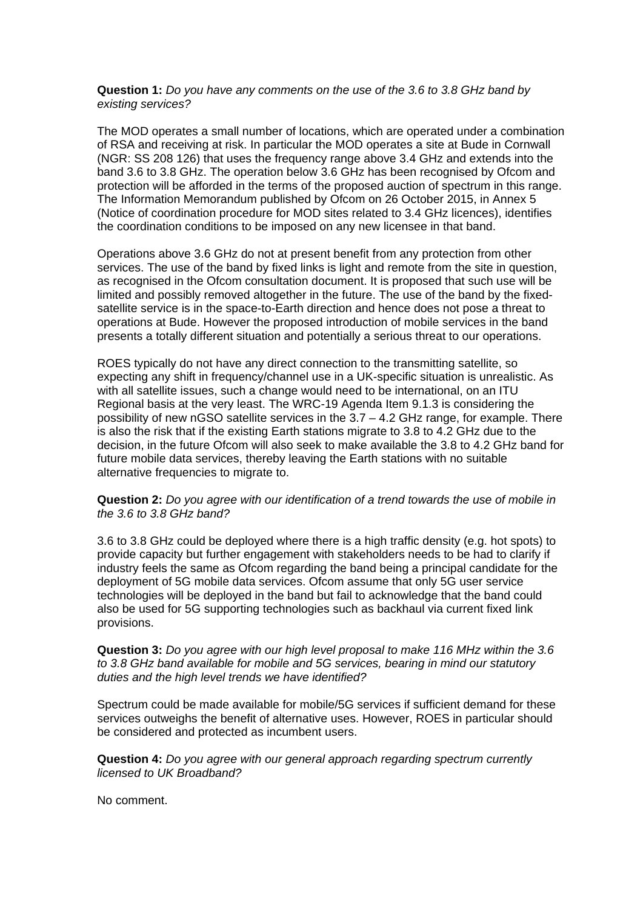## **Question 1:** *Do you have any comments on the use of the 3.6 to 3.8 GHz band by existing services?*

The MOD operates a small number of locations, which are operated under a combination of RSA and receiving at risk. In particular the MOD operates a site at Bude in Cornwall (NGR: SS 208 126) that uses the frequency range above 3.4 GHz and extends into the band 3.6 to 3.8 GHz. The operation below 3.6 GHz has been recognised by Ofcom and protection will be afforded in the terms of the proposed auction of spectrum in this range. The Information Memorandum published by Ofcom on 26 October 2015, in Annex 5 (Notice of coordination procedure for MOD sites related to 3.4 GHz licences), identifies the coordination conditions to be imposed on any new licensee in that band.

Operations above 3.6 GHz do not at present benefit from any protection from other services. The use of the band by fixed links is light and remote from the site in question, as recognised in the Ofcom consultation document. It is proposed that such use will be limited and possibly removed altogether in the future. The use of the band by the fixedsatellite service is in the space-to-Earth direction and hence does not pose a threat to operations at Bude. However the proposed introduction of mobile services in the band presents a totally different situation and potentially a serious threat to our operations.

ROES typically do not have any direct connection to the transmitting satellite, so expecting any shift in frequency/channel use in a UK-specific situation is unrealistic. As with all satellite issues, such a change would need to be international, on an ITU Regional basis at the very least. The WRC-19 Agenda Item 9.1.3 is considering the possibility of new nGSO satellite services in the 3.7 – 4.2 GHz range, for example. There is also the risk that if the existing Earth stations migrate to 3.8 to 4.2 GHz due to the decision, in the future Ofcom will also seek to make available the 3.8 to 4.2 GHz band for future mobile data services, thereby leaving the Earth stations with no suitable alternative frequencies to migrate to.

## **Question 2:** *Do you agree with our identification of a trend towards the use of mobile in the 3.6 to 3.8 GHz band?*

3.6 to 3.8 GHz could be deployed where there is a high traffic density (e.g. hot spots) to provide capacity but further engagement with stakeholders needs to be had to clarify if industry feels the same as Ofcom regarding the band being a principal candidate for the deployment of 5G mobile data services. Ofcom assume that only 5G user service technologies will be deployed in the band but fail to acknowledge that the band could also be used for 5G supporting technologies such as backhaul via current fixed link provisions.

**Question 3:** *Do you agree with our high level proposal to make 116 MHz within the 3.6 to 3.8 GHz band available for mobile and 5G services, bearing in mind our statutory duties and the high level trends we have identified?*

Spectrum could be made available for mobile/5G services if sufficient demand for these services outweighs the benefit of alternative uses. However, ROES in particular should be considered and protected as incumbent users.

**Question 4:** *Do you agree with our general approach regarding spectrum currently licensed to UK Broadband?* 

No comment.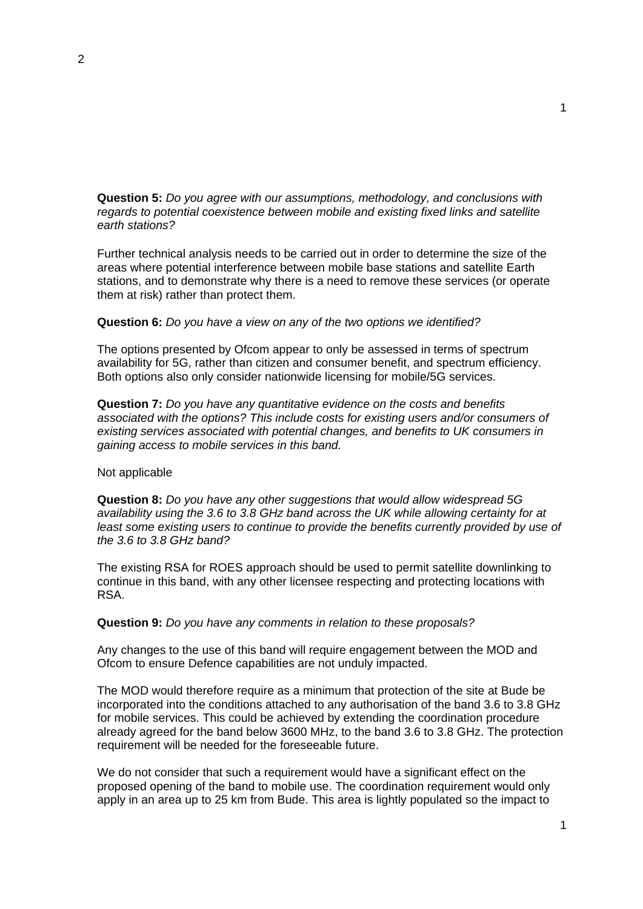**Question 5:** *Do you agree with our assumptions, methodology, and conclusions with regards to potential coexistence between mobile and existing fixed links and satellite earth stations?*

Further technical analysis needs to be carried out in order to determine the size of the areas where potential interference between mobile base stations and satellite Earth stations, and to demonstrate why there is a need to remove these services (or operate them at risk) rather than protect them.

# **Question 6:** *Do you have a view on any of the two options we identified?*

The options presented by Ofcom appear to only be assessed in terms of spectrum availability for 5G, rather than citizen and consumer benefit, and spectrum efficiency. Both options also only consider nationwide licensing for mobile/5G services.

**Question 7:** *Do you have any quantitative evidence on the costs and benefits associated with the options? This include costs for existing users and/or consumers of existing services associated with potential changes, and benefits to UK consumers in gaining access to mobile services in this band.* 

#### Not applicable

**Question 8:** *Do you have any other suggestions that would allow widespread 5G availability using the 3.6 to 3.8 GHz band across the UK while allowing certainty for at*  least some existing users to continue to provide the benefits currently provided by use of *the 3.6 to 3.8 GHz band?*

The existing RSA for ROES approach should be used to permit satellite downlinking to continue in this band, with any other licensee respecting and protecting locations with RSA.

### **Question 9:** *Do you have any comments in relation to these proposals?*

Any changes to the use of this band will require engagement between the MOD and Ofcom to ensure Defence capabilities are not unduly impacted.

The MOD would therefore require as a minimum that protection of the site at Bude be incorporated into the conditions attached to any authorisation of the band 3.6 to 3.8 GHz for mobile services. This could be achieved by extending the coordination procedure already agreed for the band below 3600 MHz, to the band 3.6 to 3.8 GHz. The protection requirement will be needed for the foreseeable future.

We do not consider that such a requirement would have a significant effect on the proposed opening of the band to mobile use. The coordination requirement would only apply in an area up to 25 km from Bude. This area is lightly populated so the impact to